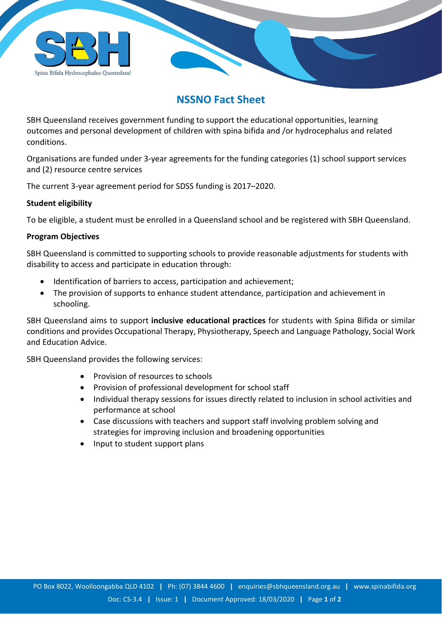

## **NSSNO Fact Sheet**

SBH Queensland receives government funding to support the educational opportunities, learning outcomes and personal development of children with spina bifida and /or hydrocephalus and related conditions.

Organisations are funded under 3-year agreements for the funding categories (1) school support services and (2) resource centre services

The current 3-year agreement period for SDSS funding is 2017–2020.

## **Student eligibility**

To be eligible, a student must be enrolled in a Queensland school and be registered with SBH Queensland.

## **Program Objectives**

SBH Queensland is committed to supporting schools to provide reasonable adjustments for students with disability to access and participate in education through:

- Identification of barriers to access, participation and achievement;
- The provision of supports to enhance student attendance, participation and achievement in schooling.

SBH Queensland aims to support **inclusive educational practices** for students with Spina Bifida or similar conditions and provides Occupational Therapy, Physiotherapy, Speech and Language Pathology, Social Work and Education Advice.

SBH Queensland provides the following services:

- Provision of resources to schools
- Provision of professional development for school staff
- Individual therapy sessions for issues directly related to inclusion in school activities and performance at school
- Case discussions with teachers and support staff involving problem solving and strategies for improving inclusion and broadening opportunities
- Input to student support plans